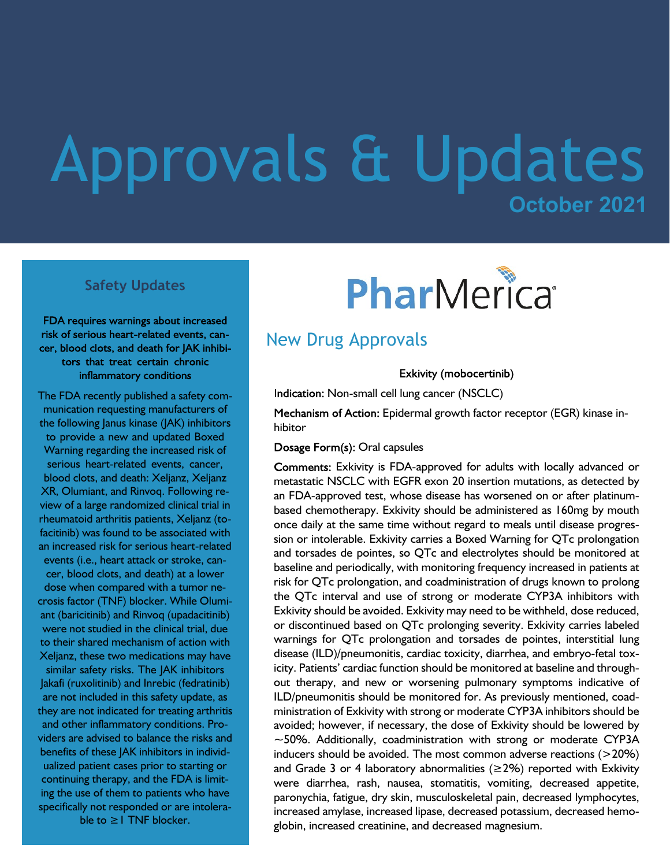## **October 2021** Approvals & Updates

#### **Safety Updates**

FDA requires warnings about increased risk of serious heart-related events, cancer, blood clots, and death for JAK inhibitors that treat certain chronic inflammatory conditions

The FDA recently published a safety communication requesting manufacturers of the following Janus kinase (JAK) inhibitors to provide a new and updated Boxed Warning regarding the increased risk of serious heart-related events, cancer, blood clots, and death: Xeljanz, Xeljanz XR, Olumiant, and Rinvoq. Following review of a large randomized clinical trial in rheumatoid arthritis patients, Xeljanz (tofacitinib) was found to be associated with an increased risk for serious heart-related events (i.e., heart attack or stroke, cancer, blood clots, and death) at a lower dose when compared with a tumor necrosis factor (TNF) blocker. While Olumiant (baricitinib) and Rinvoq (upadacitinib)

were not studied in the clinical trial, due to their shared mechanism of action with Xeljanz, these two medications may have similar safety risks. The JAK inhibitors Jakafi (ruxolitinib) and Inrebic (fedratinib) are not included in this safety update, as they are not indicated for treating arthritis and other inflammatory conditions. Providers are advised to balance the risks and benefits of these JAK inhibitors in individualized patient cases prior to starting or continuing therapy, and the FDA is limiting the use of them to patients who have specifically not responded or are intolerable to ≥1 TNF blocker.

# PharMerica®

### New Drug Approvals

Exkivity (mobocertinib)

Indication: Non-small cell lung cancer (NSCLC)

Mechanism of Action: Epidermal growth factor receptor (EGR) kinase inhibitor

#### Dosage Form(s): Oral capsules

Comments: Exkivity is FDA-approved for adults with locally advanced or metastatic NSCLC with EGFR exon 20 insertion mutations, as detected by an FDA-approved test, whose disease has worsened on or after platinumbased chemotherapy. Exkivity should be administered as 160mg by mouth once daily at the same time without regard to meals until disease progression or intolerable. Exkivity carries a Boxed Warning for QTc prolongation and torsades de pointes, so QTc and electrolytes should be monitored at baseline and periodically, with monitoring frequency increased in patients at risk for QTc prolongation, and coadministration of drugs known to prolong the QTc interval and use of strong or moderate CYP3A inhibitors with Exkivity should be avoided. Exkivity may need to be withheld, dose reduced, or discontinued based on QTc prolonging severity. Exkivity carries labeled warnings for QTc prolongation and torsades de pointes, interstitial lung disease (ILD)/pneumonitis, cardiac toxicity, diarrhea, and embryo-fetal toxicity. Patients' cardiac function should be monitored at baseline and throughout therapy, and new or worsening pulmonary symptoms indicative of ILD/pneumonitis should be monitored for. As previously mentioned, coadministration of Exkivity with strong or moderate CYP3A inhibitors should be avoided; however, if necessary, the dose of Exkivity should be lowered by  $\sim$  50%. Additionally, coadministration with strong or moderate CYP3A inducers should be avoided. The most common adverse reactions (>20%) and Grade 3 or 4 laboratory abnormalities ( $\geq$ 2%) reported with Exkivity were diarrhea, rash, nausea, stomatitis, vomiting, decreased appetite, paronychia, fatigue, dry skin, musculoskeletal pain, decreased lymphocytes, increased amylase, increased lipase, decreased potassium, decreased hemoglobin, increased creatinine, and decreased magnesium.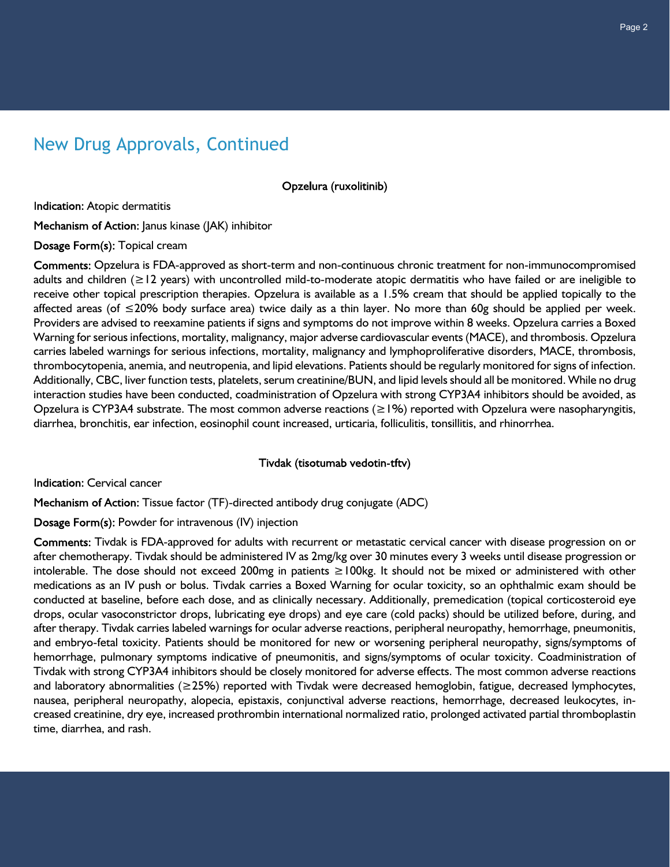## New Drug Approvals, Continued

Opzelura (ruxolitinib)

Indication: Atopic dermatitis

Mechanism of Action: Janus kinase (JAK) inhibitor

Dosage Form(s): Topical cream

Comments: Opzelura is FDA-approved as short-term and non-continuous chronic treatment for non-immunocompromised adults and children (≥12 years) with uncontrolled mild-to-moderate atopic dermatitis who have failed or are ineligible to receive other topical prescription therapies. Opzelura is available as a 1.5% cream that should be applied topically to the affected areas (of ≤20% body surface area) twice daily as a thin layer. No more than 60g should be applied per week. Providers are advised to reexamine patients if signs and symptoms do not improve within 8 weeks. Opzelura carries a Boxed Warning for serious infections, mortality, malignancy, major adverse cardiovascular events (MACE), and thrombosis. Opzelura carries labeled warnings for serious infections, mortality, malignancy and lymphoproliferative disorders, MACE, thrombosis, thrombocytopenia, anemia, and neutropenia, and lipid elevations. Patients should be regularly monitored for signs of infection. Additionally, CBC, liver function tests, platelets, serum creatinine/BUN, and lipid levels should all be monitored. While no drug interaction studies have been conducted, coadministration of Opzelura with strong CYP3A4 inhibitors should be avoided, as Opzelura is CYP3A4 substrate. The most common adverse reactions (≥1%) reported with Opzelura were nasopharyngitis, diarrhea, bronchitis, ear infection, eosinophil count increased, urticaria, folliculitis, tonsillitis, and rhinorrhea.

#### Tivdak (tisotumab vedotin-tftv)

Indication: Cervical cancer

Mechanism of Action: Tissue factor (TF)-directed antibody drug conjugate (ADC)

Dosage Form(s): Powder for intravenous (IV) injection

Comments: Tivdak is FDA-approved for adults with recurrent or metastatic cervical cancer with disease progression on or after chemotherapy. Tivdak should be administered IV as 2mg/kg over 30 minutes every 3 weeks until disease progression or intolerable. The dose should not exceed 200mg in patients ≥100kg. It should not be mixed or administered with other medications as an IV push or bolus. Tivdak carries a Boxed Warning for ocular toxicity, so an ophthalmic exam should be conducted at baseline, before each dose, and as clinically necessary. Additionally, premedication (topical corticosteroid eye drops, ocular vasoconstrictor drops, lubricating eye drops) and eye care (cold packs) should be utilized before, during, and after therapy. Tivdak carries labeled warnings for ocular adverse reactions, peripheral neuropathy, hemorrhage, pneumonitis, and embryo-fetal toxicity. Patients should be monitored for new or worsening peripheral neuropathy, signs/symptoms of hemorrhage, pulmonary symptoms indicative of pneumonitis, and signs/symptoms of ocular toxicity. Coadministration of Tivdak with strong CYP3A4 inhibitors should be closely monitored for adverse effects. The most common adverse reactions and laboratory abnormalities (≥25%) reported with Tivdak were decreased hemoglobin, fatigue, decreased lymphocytes, nausea, peripheral neuropathy, alopecia, epistaxis, conjunctival adverse reactions, hemorrhage, decreased leukocytes, increased creatinine, dry eye, increased prothrombin international normalized ratio, prolonged activated partial thromboplastin time, diarrhea, and rash.